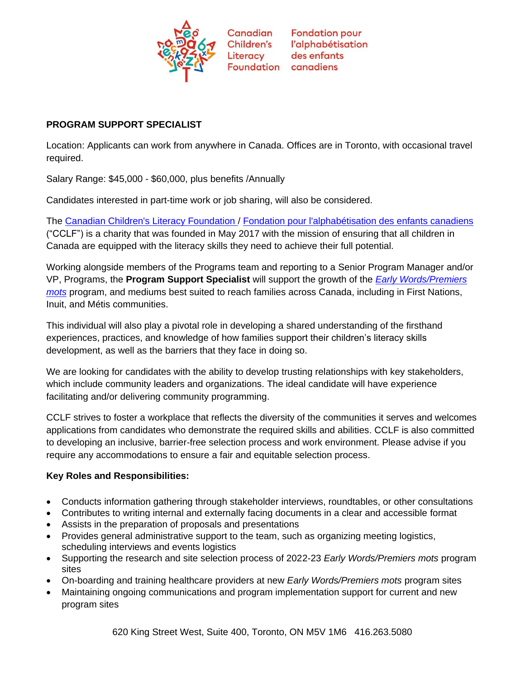

# **PROGRAM SUPPORT SPECIALIST**

Location: Applicants can work from anywhere in Canada. Offices are in Toronto, with occasional travel required.

Salary Range: \$45,000 - \$60,000, plus benefits /Annually

Candidates interested in part-time work or job sharing, will also be considered.

The [Canadian Children's Literacy Foundation](https://www.childrensliteracy.ca/) / [Fondation pour l'alphabétisation des enfants canadiens](https://www.alphabetisationdesenfants.ca/) ("CCLF") is a charity that was founded in May 2017 with the mission of ensuring that all children in Canada are equipped with the literacy skills they need to achieve their full potential.

Working alongside members of the Programs team and reporting to a Senior Program Manager and/or VP, Programs, the **Program Support Specialist** will support the growth of the *[Early Words/Premiers](https://childrensliteracy.ca/Programs/Early-Words)  [mots](https://childrensliteracy.ca/Programs/Early-Words)* program, and mediums best suited to reach families across Canada, including in First Nations, Inuit, and Métis communities.

This individual will also play a pivotal role in developing a shared understanding of the firsthand experiences, practices, and knowledge of how families support their children's literacy skills development, as well as the barriers that they face in doing so.

We are looking for candidates with the ability to develop trusting relationships with key stakeholders, which include community leaders and organizations. The ideal candidate will have experience facilitating and/or delivering community programming.

CCLF strives to foster a workplace that reflects the diversity of the communities it serves and welcomes applications from candidates who demonstrate the required skills and abilities. CCLF is also committed to developing an inclusive, barrier-free selection process and work environment. Please advise if you require any accommodations to ensure a fair and equitable selection process.

# **Key Roles and Responsibilities:**

- Conducts information gathering through stakeholder interviews, roundtables, or other consultations
- Contributes to writing internal and externally facing documents in a clear and accessible format
- Assists in the preparation of proposals and presentations
- Provides general administrative support to the team, such as organizing meeting logistics, scheduling interviews and events logistics
- Supporting the research and site selection process of 2022-23 *Early Words/Premiers mots* program sites
- On-boarding and training healthcare providers at new *Early Words/Premiers mots* program sites
- Maintaining ongoing communications and program implementation support for current and new program sites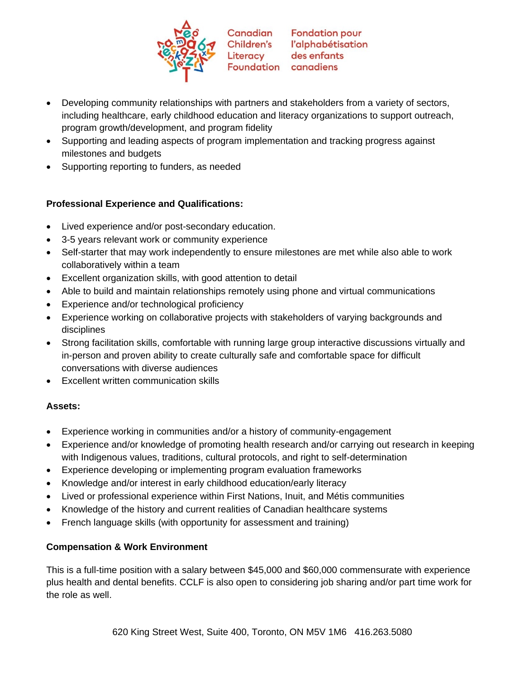

- Developing community relationships with partners and stakeholders from a variety of sectors, including healthcare, early childhood education and literacy organizations to support outreach, program growth/development, and program fidelity
- Supporting and leading aspects of program implementation and tracking progress against milestones and budgets
- Supporting reporting to funders, as needed

# **Professional Experience and Qualifications:**

- Lived experience and/or post-secondary education.
- 3-5 years relevant work or community experience
- Self-starter that may work independently to ensure milestones are met while also able to work collaboratively within a team
- Excellent organization skills, with good attention to detail
- Able to build and maintain relationships remotely using phone and virtual communications
- Experience and/or technological proficiency
- Experience working on collaborative projects with stakeholders of varying backgrounds and disciplines
- Strong facilitation skills, comfortable with running large group interactive discussions virtually and in-person and proven ability to create culturally safe and comfortable space for difficult conversations with diverse audiences
- Excellent written communication skills

# **Assets:**

- Experience working in communities and/or a history of community-engagement
- Experience and/or knowledge of promoting health research and/or carrying out research in keeping with Indigenous values, traditions, cultural protocols, and right to self-determination
- Experience developing or implementing program evaluation frameworks
- Knowledge and/or interest in early childhood education/early literacy
- Lived or professional experience within First Nations, Inuit, and Métis communities
- Knowledge of the history and current realities of Canadian healthcare systems
- French language skills (with opportunity for assessment and training)

# **Compensation & Work Environment**

This is a full-time position with a salary between \$45,000 and \$60,000 commensurate with experience plus health and dental benefits. CCLF is also open to considering job sharing and/or part time work for the role as well.